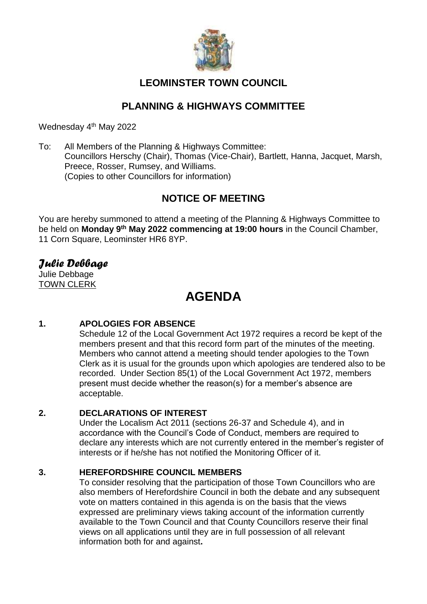

## **LEOMINSTER TOWN COUNCIL**

## **PLANNING & HIGHWAYS COMMITTEE**

Wednesday 4<sup>th</sup> May 2022

To: All Members of the Planning & Highways Committee: Councillors Herschy (Chair), Thomas (Vice-Chair), Bartlett, Hanna, Jacquet, Marsh, Preece, Rosser, Rumsey, and Williams. (Copies to other Councillors for information)

## **NOTICE OF MEETING**

You are hereby summoned to attend a meeting of the Planning & Highways Committee to be held on **Monday 9 th May 2022 commencing at 19:00 hours** in the Council Chamber, 11 Corn Square, Leominster HR6 8YP.

## *Julie Debbage*

Julie Debbage TOWN CLERK

# **AGENDA**

## **1. APOLOGIES FOR ABSENCE**

Schedule 12 of the Local Government Act 1972 requires a record be kept of the members present and that this record form part of the minutes of the meeting. Members who cannot attend a meeting should tender apologies to the Town Clerk as it is usual for the grounds upon which apologies are tendered also to be recorded. Under Section 85(1) of the Local Government Act 1972, members present must decide whether the reason(s) for a member's absence are acceptable.

## **2. DECLARATIONS OF INTEREST**

Under the Localism Act 2011 (sections 26-37 and Schedule 4), and in accordance with the Council's Code of Conduct, members are required to declare any interests which are not currently entered in the member's register of interests or if he/she has not notified the Monitoring Officer of it.

## **3. HEREFORDSHIRE COUNCIL MEMBERS**

To consider resolving that the participation of those Town Councillors who are also members of Herefordshire Council in both the debate and any subsequent vote on matters contained in this agenda is on the basis that the views expressed are preliminary views taking account of the information currently available to the Town Council and that County Councillors reserve their final views on all applications until they are in full possession of all relevant information both for and against**.**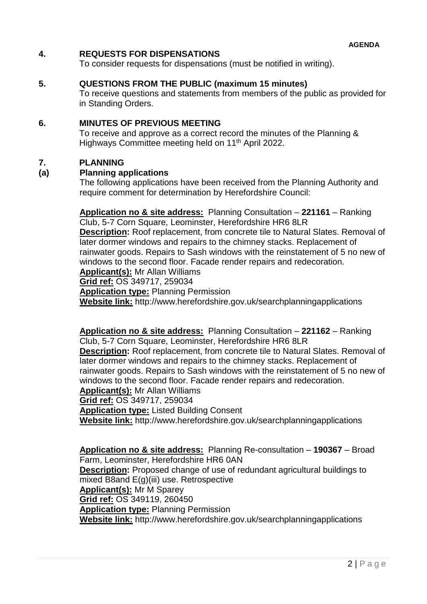### **4. REQUESTS FOR DISPENSATIONS**

To consider requests for dispensations (must be notified in writing).

#### **5. QUESTIONS FROM THE PUBLIC (maximum 15 minutes)**

To receive questions and statements from members of the public as provided for in Standing Orders.

#### **6. MINUTES OF PREVIOUS MEETING**

To receive and approve as a correct record the minutes of the Planning & Highways Committee meeting held on 11<sup>th</sup> April 2022.

#### **7. PLANNING**

#### **(a) Planning applications**

The following applications have been received from the Planning Authority and require comment for determination by Herefordshire Council:

## **Application no & site address:** Planning Consultation – **221161** – Ranking Club, 5-7 Corn Square, Leominster, Herefordshire HR6 8LR

**Description:** Roof replacement, from concrete tile to Natural Slates. Removal of later dormer windows and repairs to the chimney stacks. Replacement of rainwater goods. Repairs to Sash windows with the reinstatement of 5 no new of windows to the second floor. Facade render repairs and redecoration.

**Applicant(s):** Mr Allan Williams

**Grid ref:** OS 349717, 259034

**Application type:** Planning Permission

**Website link:** http://www.herefordshire.gov.uk/searchplanningapplications

#### **Application no & site address:** Planning Consultation – **221162** – Ranking Club, 5-7 Corn Square, Leominster, Herefordshire HR6 8LR **Description:** Roof replacement, from concrete tile to Natural Slates. Removal of later dormer windows and repairs to the chimney stacks. Replacement of rainwater goods. Repairs to Sash windows with the reinstatement of 5 no new of windows to the second floor. Facade render repairs and redecoration. **Applicant(s):** Mr Allan Williams

**Grid ref:** OS 349717, 259034

**Application type:** Listed Building Consent

**Website link:** http://www.herefordshire.gov.uk/searchplanningapplications

**Application no & site address:** Planning Re-consultation – **190367** – Broad Farm, Leominster, Herefordshire HR6 0AN **Description:** Proposed change of use of redundant agricultural buildings to mixed B8and E(g)(iii) use. Retrospective **Applicant(s):** Mr M Sparey **Grid ref:** OS 349119, 260450 **Application type:** Planning Permission **Website link:** http://www.herefordshire.gov.uk/searchplanningapplications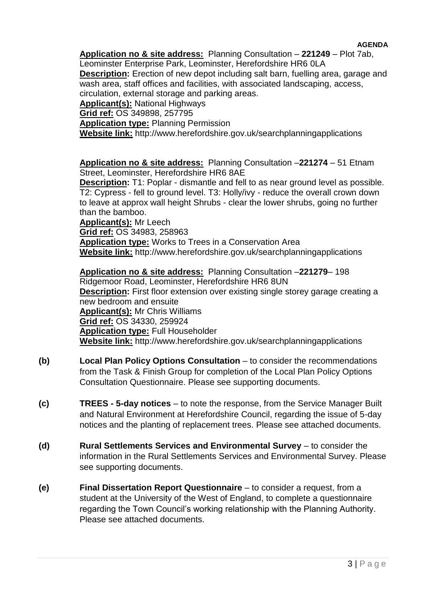#### **AGENDA**

**Application no & site address:** Planning Consultation – **221249** – Plot 7ab, Leominster Enterprise Park, Leominster, Herefordshire HR6 0LA

**Description:** Erection of new depot including salt barn, fuelling area, garage and wash area, staff offices and facilities, with associated landscaping, access,

circulation, external storage and parking areas.

**Applicant(s):** National Highways

**Grid ref:** OS 349898, 257795

**Application type:** Planning Permission

**Website link:** http://www.herefordshire.gov.uk/searchplanningapplications

**Application no & site address:** Planning Consultation –**221274** – 51 Etnam Street, Leominster, Herefordshire HR6 8AE

**Description:** T1: Poplar - dismantle and fell to as near ground level as possible. T2: Cypress - fell to ground level. T3: Holly/ivy - reduce the overall crown down to leave at approx wall height Shrubs - clear the lower shrubs, going no further than the bamboo.

**Applicant(s):** Mr Leech **Grid ref:** OS 34983, 258963 **Application type:** Works to Trees in a Conservation Area **Website link:** http://www.herefordshire.gov.uk/searchplanningapplications

**Application no & site address:** Planning Consultation –**221279**– 198 Ridgemoor Road, Leominster, Herefordshire HR6 8UN **Description:** First floor extension over existing single storey garage creating a new bedroom and ensuite **Applicant(s):** Mr Chris Williams **Grid ref:** OS 34330, 259924 **Application type:** Full Householder **Website link:** http://www.herefordshire.gov.uk/searchplanningapplications

- **(b) Local Plan Policy Options Consultation** to consider the recommendations from the Task & Finish Group for completion of the Local Plan Policy Options Consultation Questionnaire. Please see supporting documents.
- **(c) TREES - 5-day notices** to note the response, from the Service Manager Built and Natural Environment at Herefordshire Council, regarding the issue of 5-day notices and the planting of replacement trees. Please see attached documents.
- **(d) Rural Settlements Services and Environmental Survey**  to consider the information in the Rural Settlements Services and Environmental Survey. Please see supporting documents.
- **(e) Final Dissertation Report Questionnaire** to consider a request, from a student at the University of the West of England, to complete a questionnaire regarding the Town Council's working relationship with the Planning Authority. Please see attached documents.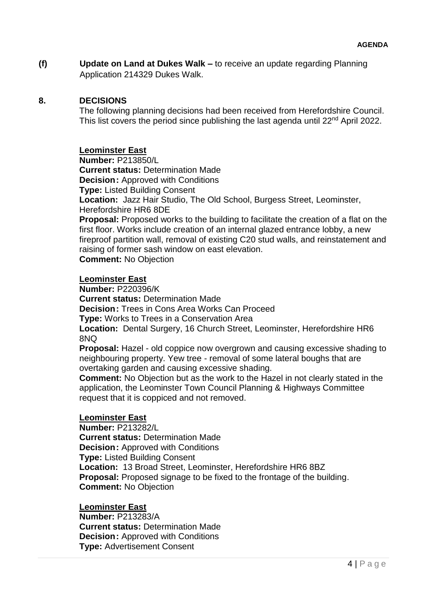**(f) Update on Land at Dukes Walk –** to receive an update regarding Planning Application 214329 Dukes Walk.

### **8. DECISIONS**

The following planning decisions had been received from Herefordshire Council. This list covers the period since publishing the last agenda until 22<sup>nd</sup> April 2022.

### **Leominster East**

**Number:** P213850/L **Current status:** Determination Made **Decision:** Approved with Conditions **Type:** Listed Building Consent **Location:** Jazz Hair Studio, The Old School, Burgess Street, Leominster, Herefordshire HR6 8DE **Proposal:** Proposed works to the building to facilitate the creation of a flat on the

first floor. Works include creation of an internal glazed entrance lobby, a new fireproof partition wall, removal of existing C20 stud walls, and reinstatement and raising of former sash window on east elevation.

**Comment:** No Objection

#### **Leominster East**

**Number:** P220396/K

**Current status:** Determination Made

**Decision:** Trees in Cons Area Works Can Proceed

**Type:** Works to Trees in a Conservation Area

**Location:** Dental Surgery, 16 Church Street, Leominster, Herefordshire HR6 8NQ

**Proposal:** Hazel - old coppice now overgrown and causing excessive shading to neighbouring property. Yew tree - removal of some lateral boughs that are overtaking garden and causing excessive shading.

**Comment:** No Objection but as the work to the Hazel in not clearly stated in the application, the Leominster Town Council Planning & Highways Committee request that it is coppiced and not removed.

#### **Leominster East**

**Number:** P213282/L **Current status:** Determination Made **Decision:** Approved with Conditions **Type:** Listed Building Consent **Location:** 13 Broad Street, Leominster, Herefordshire HR6 8BZ **Proposal:** Proposed signage to be fixed to the frontage of the building. **Comment:** No Objection

**Leominster East**

**Number:** P213283/A **Current status:** Determination Made **Decision:** Approved with Conditions **Type:** Advertisement Consent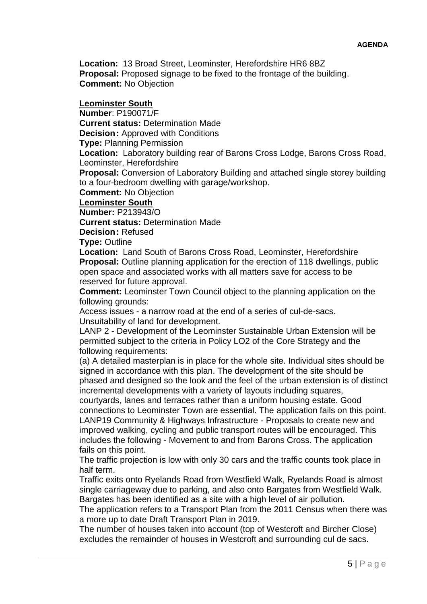**Location:** 13 Broad Street, Leominster, Herefordshire HR6 8BZ **Proposal:** Proposed signage to be fixed to the frontage of the building. **Comment:** No Objection

#### **Leominster South**

**Number**: P190071/F

**Current status:** Determination Made

**Decision: Approved with Conditions** 

**Type:** Planning Permission

**Location:** Laboratory building rear of Barons Cross Lodge, Barons Cross Road, Leominster, Herefordshire

**Proposal:** Conversion of Laboratory Building and attached single storey building to a four-bedroom dwelling with garage/workshop.

**Comment:** No Objection

#### **Leominster South**

**Number:** P213943/O

**Current status:** Determination Made

**Decision:** Refused

**Type:** Outline

**Location:** Land South of Barons Cross Road, Leominster, Herefordshire **Proposal:** Outline planning application for the erection of 118 dwellings, public open space and associated works with all matters save for access to be reserved for future approval.

**Comment:** Leominster Town Council object to the planning application on the following grounds:

Access issues - a narrow road at the end of a series of cul-de-sacs. Unsuitability of land for development.

LANP 2 - Development of the Leominster Sustainable Urban Extension will be permitted subject to the criteria in Policy LO2 of the Core Strategy and the following requirements:

(a) A detailed masterplan is in place for the whole site. Individual sites should be signed in accordance with this plan. The development of the site should be phased and designed so the look and the feel of the urban extension is of distinct incremental developments with a variety of layouts including squares,

courtyards, lanes and terraces rather than a uniform housing estate. Good connections to Leominster Town are essential. The application fails on this point. LANP19 Community & Highways Infrastructure - Proposals to create new and improved walking, cycling and public transport routes will be encouraged. This includes the following - Movement to and from Barons Cross. The application fails on this point.

The traffic projection is low with only 30 cars and the traffic counts took place in half term.

Traffic exits onto Ryelands Road from Westfield Walk, Ryelands Road is almost single carriageway due to parking, and also onto Bargates from Westfield Walk. Bargates has been identified as a site with a high level of air pollution.

The application refers to a Transport Plan from the 2011 Census when there was a more up to date Draft Transport Plan in 2019.

The number of houses taken into account (top of Westcroft and Bircher Close) excludes the remainder of houses in Westcroft and surrounding cul de sacs.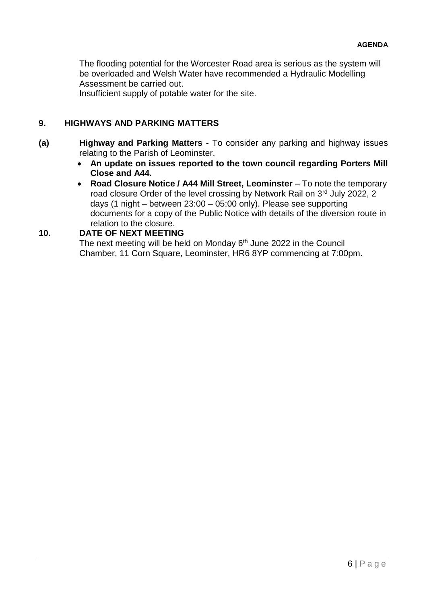The flooding potential for the Worcester Road area is serious as the system will be overloaded and Welsh Water have recommended a Hydraulic Modelling Assessment be carried out.

Insufficient supply of potable water for the site.

## **9. HIGHWAYS AND PARKING MATTERS**

- **(a) Highway and Parking Matters -** To consider any parking and highway issues relating to the Parish of Leominster.
	- **An update on issues reported to the town council regarding Porters Mill Close and A44.**
	- **Road Closure Notice / A44 Mill Street, Leominster** To note the temporary road closure Order of the level crossing by Network Rail on 3<sup>rd</sup> July 2022, 2 days (1 night – between 23:00 – 05:00 only). Please see supporting documents for a copy of the Public Notice with details of the diversion route in relation to the closure.

#### **10. DATE OF NEXT MEETING**

The next meeting will be held on Monday 6<sup>th</sup> June 2022 in the Council Chamber, 11 Corn Square, Leominster, HR6 8YP commencing at 7:00pm.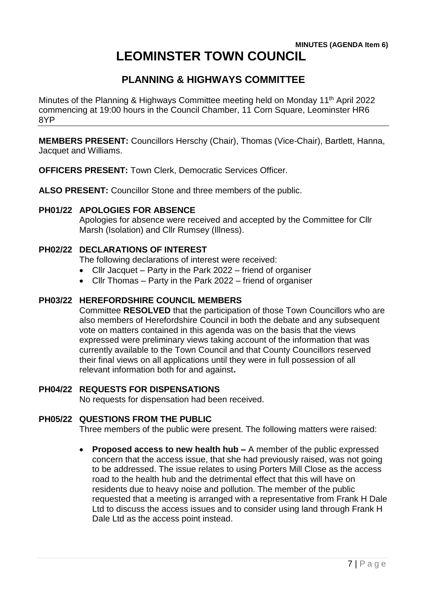### **MINUTES (AGENDA Item 6) LEOMINSTER TOWN COUNCIL**

## **PLANNING & HIGHWAYS COMMITTEE**

Minutes of the Planning & Highways Committee meeting held on Monday 11<sup>th</sup> April 2022 commencing at 19:00 hours in the Council Chamber, 11 Corn Square, Leominster HR6 8YP

**MEMBERS PRESENT:** Councillors Herschy (Chair), Thomas (Vice-Chair), Bartlett, Hanna, Jacquet and Williams.

**OFFICERS PRESENT:** Town Clerk, Democratic Services Officer.

**ALSO PRESENT:** Councillor Stone and three members of the public.

### **PH01/22 APOLOGIES FOR ABSENCE**

Apologies for absence were received and accepted by the Committee for Cllr Marsh (Isolation) and Cllr Rumsey (Illness).

## **PH02/22 DECLARATIONS OF INTEREST**

The following declarations of interest were received:

- Cllr Jacquet Party in the Park 2022 friend of organiser
- Cllr Thomas Party in the Park 2022 friend of organiser

### **PH03/22 HEREFORDSHIRE COUNCIL MEMBERS**

Committee **RESOLVED** that the participation of those Town Councillors who are also members of Herefordshire Council in both the debate and any subsequent vote on matters contained in this agenda was on the basis that the views expressed were preliminary views taking account of the information that was currently available to the Town Council and that County Councillors reserved their final views on all applications until they were in full possession of all relevant information both for and against**.**

#### **PH04/22 REQUESTS FOR DISPENSATIONS**

No requests for dispensation had been received.

#### **PH05/22 QUESTIONS FROM THE PUBLIC**

Three members of the public were present. The following matters were raised:

 **Proposed access to new health hub –** A member of the public expressed concern that the access issue, that she had previously raised, was not going to be addressed. The issue relates to using Porters Mill Close as the access road to the health hub and the detrimental effect that this will have on residents due to heavy noise and pollution. The member of the public requested that a meeting is arranged with a representative from Frank H Dale Ltd to discuss the access issues and to consider using land through Frank H Dale Ltd as the access point instead.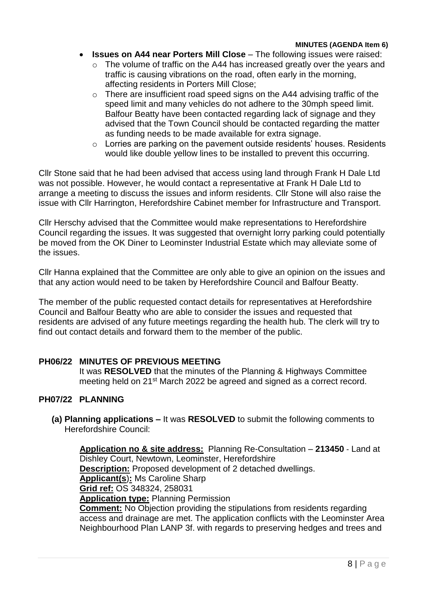#### **MINUTES (AGENDA Item 6)**

- **Issues on A44 near Porters Mill Close** The following issues were raised:
	- $\circ$  The volume of traffic on the A44 has increased greatly over the years and traffic is causing vibrations on the road, often early in the morning, affecting residents in Porters Mill Close;
	- $\circ$  There are insufficient road speed signs on the A44 advising traffic of the speed limit and many vehicles do not adhere to the 30mph speed limit. Balfour Beatty have been contacted regarding lack of signage and they advised that the Town Council should be contacted regarding the matter as funding needs to be made available for extra signage.
	- o Lorries are parking on the pavement outside residents' houses. Residents would like double yellow lines to be installed to prevent this occurring.

Cllr Stone said that he had been advised that access using land through Frank H Dale Ltd was not possible. However, he would contact a representative at Frank H Dale Ltd to arrange a meeting to discuss the issues and inform residents. Cllr Stone will also raise the issue with Cllr Harrington, Herefordshire Cabinet member for Infrastructure and Transport.

Cllr Herschy advised that the Committee would make representations to Herefordshire Council regarding the issues. It was suggested that overnight lorry parking could potentially be moved from the OK Diner to Leominster Industrial Estate which may alleviate some of the issues.

Cllr Hanna explained that the Committee are only able to give an opinion on the issues and that any action would need to be taken by Herefordshire Council and Balfour Beatty.

The member of the public requested contact details for representatives at Herefordshire Council and Balfour Beatty who are able to consider the issues and requested that residents are advised of any future meetings regarding the health hub. The clerk will try to find out contact details and forward them to the member of the public.

#### **PH06/22 MINUTES OF PREVIOUS MEETING**

It was **RESOLVED** that the minutes of the Planning & Highways Committee meeting held on 21<sup>st</sup> March 2022 be agreed and signed as a correct record.

#### **PH07/22 PLANNING**

**(a) Planning applications –** It was **RESOLVED** to submit the following comments to Herefordshire Council:

**Application no & site address:** Planning Re-Consultation – **213450** - Land at Dishley Court, Newtown, Leominster, Herefordshire **Description:** Proposed development of 2 detached dwellings. **Applicant(s**)**:** Ms Caroline Sharp **Grid ref:** OS 348324, 258031 **Application type:** Planning Permission **Comment:** No Objection providing the stipulations from residents regarding access and drainage are met. The application conflicts with the Leominster Area Neighbourhood Plan LANP 3f. with regards to preserving hedges and trees and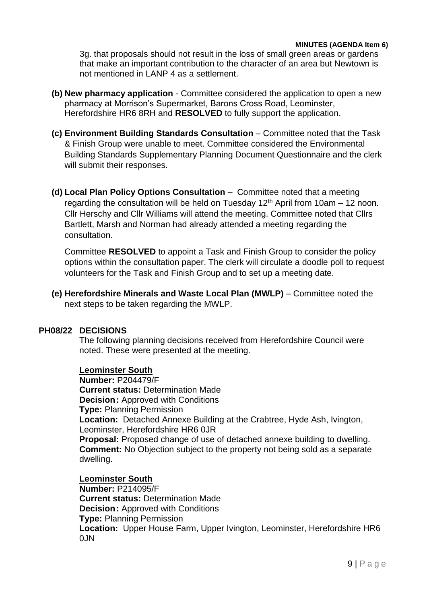#### **MINUTES (AGENDA Item 6)**

3g. that proposals should not result in the loss of small green areas or gardens that make an important contribution to the character of an area but Newtown is not mentioned in LANP 4 as a settlement.

- **(b) New pharmacy application**  Committee considered the application to open a new pharmacy at Morrison's Supermarket, Barons Cross Road, Leominster, Herefordshire HR6 8RH and **RESOLVED** to fully support the application.
- **(c) Environment Building Standards Consultation**  Committee noted that the Task & Finish Group were unable to meet. Committee considered the Environmental Building Standards Supplementary Planning Document Questionnaire and the clerk will submit their responses.
- **(d) Local Plan Policy Options Consultation** –Committee noted that a meeting regarding the consultation will be held on Tuesday  $12<sup>th</sup>$  April from 10am – 12 noon. Cllr Herschy and Cllr Williams will attend the meeting. Committee noted that Cllrs Bartlett, Marsh and Norman had already attended a meeting regarding the consultation.

Committee **RESOLVED** to appoint a Task and Finish Group to consider the policy options within the consultation paper. The clerk will circulate a doodle poll to request volunteers for the Task and Finish Group and to set up a meeting date.

**(e) Herefordshire Minerals and Waste Local Plan (MWLP)** – Committee noted the next steps to be taken regarding the MWLP.

#### **PH08/22 DECISIONS**

The following planning decisions received from Herefordshire Council were noted. These were presented at the meeting.

#### **Leominster South**

**Number:** P204479/F **Current status:** Determination Made **Decision:** Approved with Conditions **Type:** Planning Permission **Location:** Detached Annexe Building at the Crabtree, Hyde Ash, Ivington, Leominster, Herefordshire HR6 0JR **Proposal:** Proposed change of use of detached annexe building to dwelling. **Comment:** No Objection subject to the property not being sold as a separate dwelling.

**Leominster South Number:** P214095/F **Current status:** Determination Made **Decision:** Approved with Conditions **Type:** Planning Permission **Location:** Upper House Farm, Upper Ivington, Leominster, Herefordshire HR6 0JN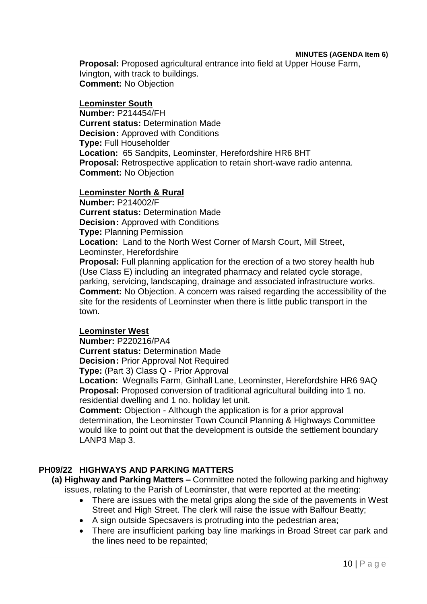#### **MINUTES (AGENDA Item 6)**

**Proposal:** Proposed agricultural entrance into field at Upper House Farm, Ivington, with track to buildings. **Comment:** No Objection

#### **Leominster South**

**Number:** P214454/FH **Current status:** Determination Made **Decision:** Approved with Conditions **Type:** Full Householder **Location:** 65 Sandpits, Leominster, Herefordshire HR6 8HT **Proposal:** Retrospective application to retain short-wave radio antenna. **Comment:** No Objection

#### **Leominster North & Rural**

**Number:** P214002/F **Current status:** Determination Made **Decision:** Approved with Conditions **Type:** Planning Permission **Location:** Land to the North West Corner of Marsh Court, Mill Street, Leominster, Herefordshire **Proposal:** Full planning application for the erection of a two storey health hub (Use Class E) including an integrated pharmacy and related cycle storage, parking, servicing, landscaping, drainage and associated infrastructure works. **Comment:** No Objection. A concern was raised regarding the accessibility of the site for the residents of Leominster when there is little public transport in the town.

#### **Leominster West**

**Number:** P220216/PA4

**Current status:** Determination Made **Decision:** Prior Approval Not Required

**Type:** (Part 3) Class Q - Prior Approval

**Location:** Wegnalls Farm, Ginhall Lane, Leominster, Herefordshire HR6 9AQ **Proposal:** Proposed conversion of traditional agricultural building into 1 no. residential dwelling and 1 no. holiday let unit.

**Comment:** Objection - Although the application is for a prior approval determination, the Leominster Town Council Planning & Highways Committee would like to point out that the development is outside the settlement boundary LANP3 Map 3.

#### **PH09/22 HIGHWAYS AND PARKING MATTERS**

**(a) Highway and Parking Matters –** Committee noted the following parking and highway issues, relating to the Parish of Leominster, that were reported at the meeting:

- There are issues with the metal grips along the side of the pavements in West Street and High Street. The clerk will raise the issue with Balfour Beatty;
- A sign outside Specsavers is protruding into the pedestrian area;
- There are insufficient parking bay line markings in Broad Street car park and the lines need to be repainted;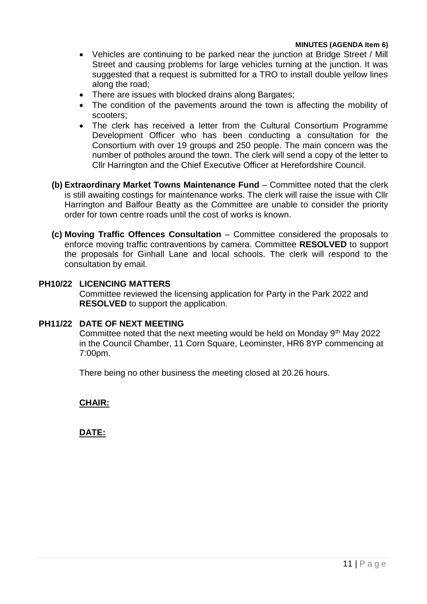- Vehicles are continuing to be parked near the junction at Bridge Street / Mill Street and causing problems for large vehicles turning at the junction. It was suggested that a request is submitted for a TRO to install double yellow lines along the road;
- There are issues with blocked drains along Bargates;
- The condition of the pavements around the town is affecting the mobility of scooters;
- The clerk has received a letter from the Cultural Consortium Programme Development Officer who has been conducting a consultation for the Consortium with over 19 groups and 250 people. The main concern was the number of potholes around the town. The clerk will send a copy of the letter to Cllr Harrington and the Chief Executive Officer at Herefordshire Council.
- **(b) Extraordinary Market Towns Maintenance Fund** Committee noted that the clerk is still awaiting costings for maintenance works. The clerk will raise the issue with Cllr Harrington and Balfour Beatty as the Committee are unable to consider the priority order for town centre roads until the cost of works is known.
- **(c) Moving Traffic Offences Consultation**  Committee considered the proposals to enforce moving traffic contraventions by camera. Committee **RESOLVED** to support the proposals for Ginhall Lane and local schools. The clerk will respond to the consultation by email.

#### **PH10/22 LICENCING MATTERS**

Committee reviewed the licensing application for Party in the Park 2022 and **RESOLVED** to support the application.

#### **PH11/22 DATE OF NEXT MEETING**

Committee noted that the next meeting would be held on Monday 9<sup>th</sup> May 2022 in the Council Chamber, 11 Corn Square, Leominster, HR6 8YP commencing at 7:00pm.

There being no other business the meeting closed at 20.26 hours.

**CHAIR:**

**DATE:**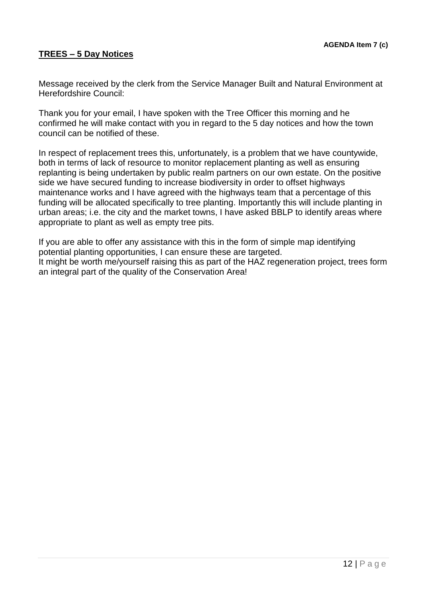### **TREES – 5 Day Notices**

Message received by the clerk from the Service Manager Built and Natural Environment at Herefordshire Council:

Thank you for your email, I have spoken with the Tree Officer this morning and he confirmed he will make contact with you in regard to the 5 day notices and how the town council can be notified of these.

In respect of replacement trees this, unfortunately, is a problem that we have countywide, both in terms of lack of resource to monitor replacement planting as well as ensuring replanting is being undertaken by public realm partners on our own estate. On the positive side we have secured funding to increase biodiversity in order to offset highways maintenance works and I have agreed with the highways team that a percentage of this funding will be allocated specifically to tree planting. Importantly this will include planting in urban areas; i.e. the city and the market towns, I have asked BBLP to identify areas where appropriate to plant as well as empty tree pits.

If you are able to offer any assistance with this in the form of simple map identifying potential planting opportunities, I can ensure these are targeted. It might be worth me/yourself raising this as part of the HAZ regeneration project, trees form an integral part of the quality of the Conservation Area!